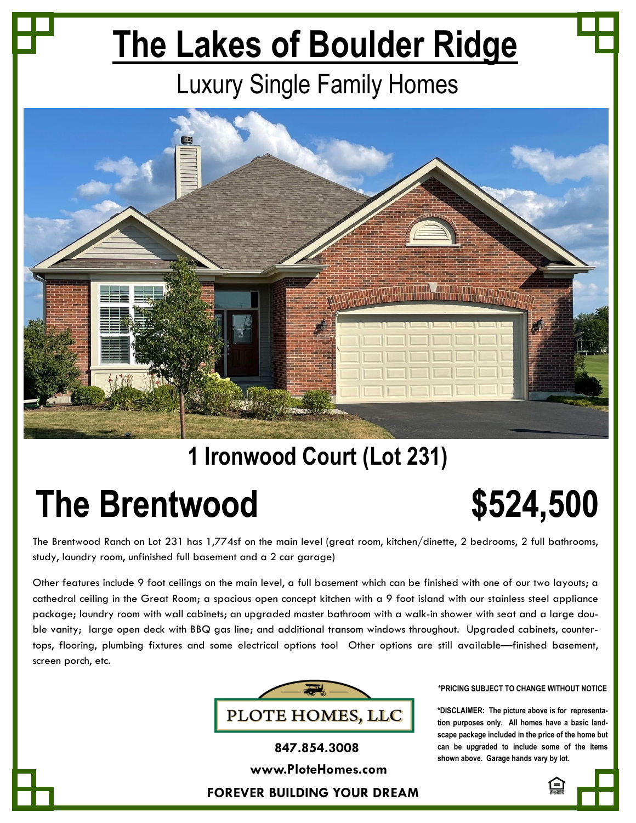# **The Lakes of Boulder Ridge**

## Luxury Single Family Homes



### **1 Ironwood Court (Lot 231)**

## **The Brentwood \$524,500**

The Brentwood Ranch on Lot 231 has 1,774sf on the main level (great room, kitchen/dinette, 2 bedrooms, 2 full bathrooms, study, laundry room, unfinished full basement and a 2 car garage)

Other features include 9 foot ceilings on the main level, a full basement which can be finished with one of our two layouts; a cathedral ceiling in the Great Room; a spacious open concept kitchen with a 9 foot island with our stainless steel appliance package; laundry room with wall cabinets; an upgraded master bathroom with a walk-in shower with seat and a large double vanity; large open deck with BBQ gas line; and additional transom windows throughout. Upgraded cabinets, countertops, flooring, plumbing fixtures and some electrical options too! Other options are still available—finished basement, screen porch, etc.



### **\*PRICING SUBJECT TO CHANGE WITHOUT NOTICE**

**\*DISCLAIMER: The picture above is for representation purposes only. All homes have a basic landscape package included in the price of the home but can be upgraded to include some of the items shown above. Garage hands vary by lot.**



**FOREVER BUILDING YOUR DREAM 847.854.3008 www.PloteHomes.com**